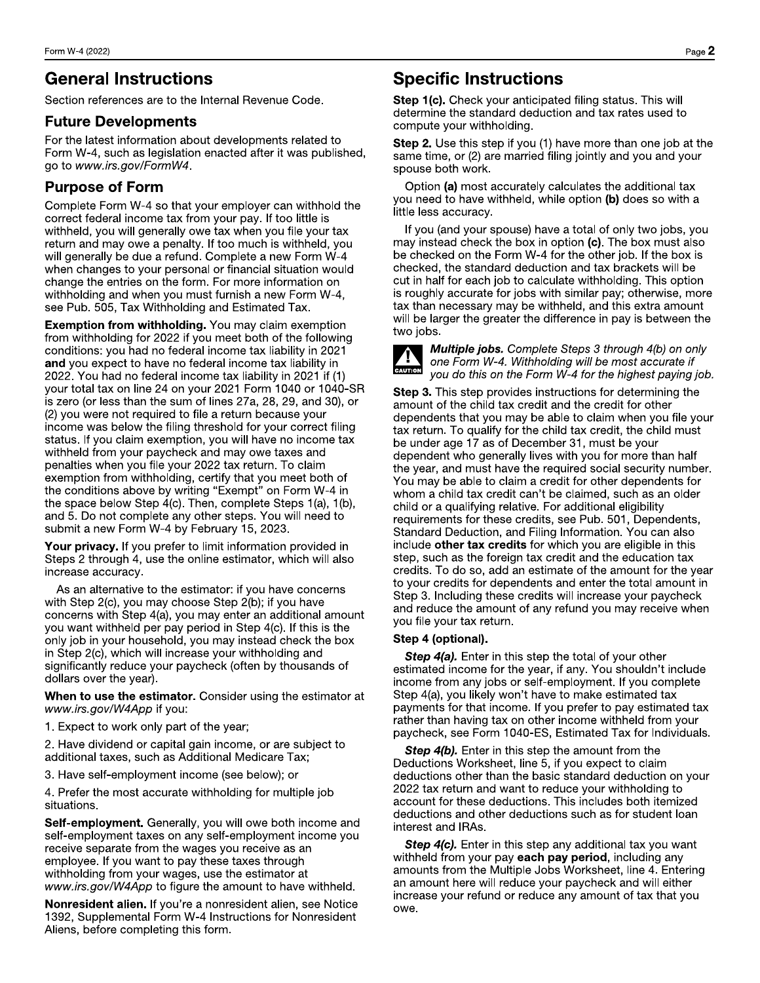# **General Instructions**

Section references are to the Internal Revenue Code.

### **Future Developments**

For the latest information about developments related to Form W-4, such as legislation enacted after it was published, go to www.irs.gov/FormW4.

## **Purpose of Form**

Complete Form W-4 so that your employer can withhold the correct federal income tax from your pay. If too little is withheld, you will generally owe tax when you file your tax return and may owe a penalty. If too much is withheld, you will generally be due a refund. Complete a new Form W-4 when changes to your personal or financial situation would change the entries on the form. For more information on withholding and when you must furnish a new Form W-4, see Pub. 505, Tax Withholding and Estimated Tax.

Exemption from withholding. You may claim exemption from withholding for 2022 if you meet both of the following conditions: you had no federal income tax liability in 2021 and you expect to have no federal income tax liability in 2022. You had no federal income tax liability in 2021 if (1) your total tax on line 24 on your 2021 Form 1040 or 1040-SR is zero (or less than the sum of lines 27a, 28, 29, and 30), or (2) you were not required to file a return because your income was below the filing threshold for your correct filing status. If you claim exemption, you will have no income tax withheld from your paycheck and may owe taxes and penalties when you file your 2022 tax return. To claim exemption from withholding, certify that you meet both of the conditions above by writing "Exempt" on Form W-4 in the space below Step 4(c). Then, complete Steps 1(a), 1(b), and 5. Do not complete any other steps. You will need to submit a new Form W-4 by February 15, 2023.

Your privacy. If you prefer to limit information provided in Steps 2 through 4, use the online estimator, which will also increase accuracy.

As an alternative to the estimator: if you have concerns with Step 2(c), you may choose Step 2(b); if you have concerns with Step 4(a), you may enter an additional amount you want withheld per pay period in Step 4(c). If this is the only job in your household, you may instead check the box in Step 2(c), which will increase your withholding and significantly reduce your paycheck (often by thousands of dollars over the year).

When to use the estimator. Consider using the estimator at www.irs.gov/W4App if you:

1. Expect to work only part of the year;

2. Have dividend or capital gain income, or are subject to additional taxes, such as Additional Medicare Tax;

3. Have self-employment income (see below); or

4. Prefer the most accurate withholding for multiple job situations.

Self-employment. Generally, you will owe both income and self-employment taxes on any self-employment income you receive separate from the wages you receive as an employee. If you want to pay these taxes through withholding from your wages, use the estimator at www.irs.gov/W4App to figure the amount to have withheld.

Nonresident alien. If you're a nonresident alien, see Notice 1392, Supplemental Form W-4 Instructions for Nonresident Aliens, before completing this form.

# **Specific Instructions**

Step 1(c). Check your anticipated filing status. This will determine the standard deduction and tax rates used to compute your withholding.

Step 2. Use this step if you (1) have more than one job at the same time, or (2) are married filing jointly and you and your spouse both work.

Option (a) most accurately calculates the additional tax you need to have withheld, while option (b) does so with a little less accuracy.

If you (and your spouse) have a total of only two jobs, you may instead check the box in option (c). The box must also be checked on the Form W-4 for the other job. If the box is checked, the standard deduction and tax brackets will be cut in half for each job to calculate withholding. This option is roughly accurate for jobs with similar pay; otherwise, more tax than necessary may be withheld, and this extra amount will be larger the greater the difference in pay is between the two jobs.



Multiple jobs. Complete Steps 3 through 4(b) on only one Form W-4. Withholding will be most accurate if you do this on the Form W-4 for the highest paying job.

Step 3. This step provides instructions for determining the amount of the child tax credit and the credit for other dependents that you may be able to claim when you file your tax return. To qualify for the child tax credit, the child must be under age 17 as of December 31, must be your dependent who generally lives with you for more than half the year, and must have the required social security number. You may be able to claim a credit for other dependents for whom a child tax credit can't be claimed, such as an older child or a qualifying relative. For additional eligibility requirements for these credits, see Pub. 501, Dependents, Standard Deduction, and Filing Information. You can also include other tax credits for which you are eligible in this step, such as the foreign tax credit and the education tax credits. To do so, add an estimate of the amount for the year to your credits for dependents and enter the total amount in Step 3. Including these credits will increase your paycheck and reduce the amount of any refund you may receive when you file your tax return.

#### Step 4 (optional).

Step 4(a). Enter in this step the total of your other estimated income for the year, if any. You shouldn't include income from any jobs or self-employment. If you complete Step 4(a), you likely won't have to make estimated tax payments for that income. If you prefer to pay estimated tax rather than having tax on other income withheld from your paycheck, see Form 1040-ES, Estimated Tax for Individuals.

Step 4(b). Enter in this step the amount from the Deductions Worksheet, line 5, if you expect to claim deductions other than the basic standard deduction on your 2022 tax return and want to reduce your withholding to account for these deductions. This includes both itemized deductions and other deductions such as for student loan interest and IRAs.

Step 4(c). Enter in this step any additional tax you want withheld from your pay each pay period, including any amounts from the Multiple Jobs Worksheet, line 4. Entering an amount here will reduce your paycheck and will either increase your refund or reduce any amount of tax that you owe.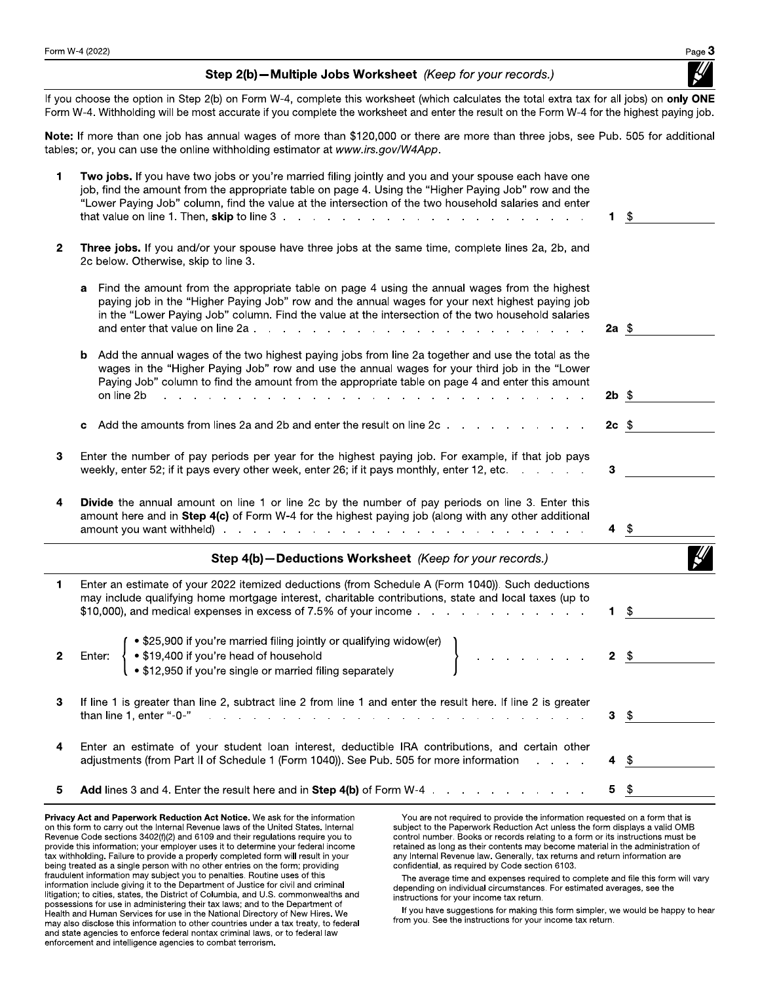Step 2(b)-Multiple Jobs Worksheet (Keep for your records.)

If you choose the option in Step 2(b) on Form W-4, complete this worksheet (which calculates the total extra tax for all jobs) on only ONE Form W-4. Withholding will be most accurate if you complete the worksheet and enter the result on the Form W-4 for the highest paying job.

Note: If more than one job has annual wages of more than \$120,000 or there are more than three jobs, see Pub. 505 for additional tables; or, you can use the online withholding estimator at www.irs.gov/W4App.

| 1            | Two jobs. If you have two jobs or you're married filing jointly and you and your spouse each have one<br>job, find the amount from the appropriate table on page 4. Using the "Higher Paying Job" row and the<br>"Lower Paying Job" column, find the value at the intersection of the two household salaries and enter                                                                                                             | 1               | $\boldsymbol{\hat{\theta}}$ |
|--------------|------------------------------------------------------------------------------------------------------------------------------------------------------------------------------------------------------------------------------------------------------------------------------------------------------------------------------------------------------------------------------------------------------------------------------------|-----------------|-----------------------------|
| $\mathbf{2}$ | Three jobs. If you and/or your spouse have three jobs at the same time, complete lines 2a, 2b, and<br>2c below. Otherwise, skip to line 3.                                                                                                                                                                                                                                                                                         |                 |                             |
|              | Find the amount from the appropriate table on page 4 using the annual wages from the highest<br>a<br>paying job in the "Higher Paying Job" row and the annual wages for your next highest paying job<br>in the "Lower Paying Job" column. Find the value at the intersection of the two household salaries                                                                                                                         | $2a \text{ } $$ |                             |
|              | Add the annual wages of the two highest paying jobs from line 2a together and use the total as the<br>b<br>wages in the "Higher Paying Job" row and use the annual wages for your third job in the "Lower<br>Paying Job" column to find the amount from the appropriate table on page 4 and enter this amount<br>on line 2b<br>and the contract of the contract of the contract of the contract of the contract of the contract of | $2b$ \$         |                             |
|              | Add the amounts from lines 2a and 2b and enter the result on line 2c<br>c.                                                                                                                                                                                                                                                                                                                                                         | $2c$ \$         |                             |
| 3            | Enter the number of pay periods per year for the highest paying job. For example, if that job pays<br>weekly, enter 52; if it pays every other week, enter 26; if it pays monthly, enter 12, etc.                                                                                                                                                                                                                                  | 3               |                             |
| 4            | <b>Divide</b> the annual amount on line 1 or line 2c by the number of pay periods on line 3. Enter this<br>amount here and in Step 4(c) of Form W-4 for the highest paying job (along with any other additional                                                                                                                                                                                                                    | 4               | - \$                        |
|              | Step 4(b) - Deductions Worksheet (Keep for your records.)                                                                                                                                                                                                                                                                                                                                                                          |                 |                             |
| 1            | Enter an estimate of your 2022 itemized deductions (from Schedule A (Form 1040)). Such deductions<br>may include qualifying home mortgage interest, charitable contributions, state and local taxes (up to                                                                                                                                                                                                                         | 1.              | -\$                         |
| 2            | • \$25,900 if you're married filing jointly or qualifying widow(er)<br>• \$19,400 if you're head of household<br>• \$12,950 if you're single or married filing separately<br>.<br>Enter:                                                                                                                                                                                                                                           | $2 \quad$       |                             |
| 3            | If line 1 is greater than line 2, subtract line 2 from line 1 and enter the result here. If line 2 is greater<br>and the contract of the contract of the contract of the contract of the contract of the contract of the contract of the contract of the contract of the contract of the contract of the contract of the contract of the contra<br>than line 1, enter "-0-"                                                        | 3               | -\$                         |
| 4            | Enter an estimate of your student loan interest, deductible IRA contributions, and certain other<br>adjustments (from Part II of Schedule 1 (Form 1040)). See Pub. 505 for more information                                                                                                                                                                                                                                        | 4               | \$                          |
| 5            | Add lines 3 and 4. Enter the result here and in Step 4(b) of Form W-4 results and a set of the step 4 of the step 4(b) of Form W-4 results and a set of the step 3 and 4. Enter the result and step 4(b) of Form W-4                                                                                                                                                                                                               | 5               | \$                          |

Privacy Act and Paperwork Reduction Act Notice. We ask for the information on this form to carry out the Internal Revenue laws of the United States. Internal Revenue Code sections 3402(f)(2) and 6109 and their regulations require you to provide this information; your employer uses it to determine your federal income tax withholding. Failure to provide a properly completed form will result in your<br>being treated as a single person with no other entries on the form; providing fraudulent information may subject you to penalties. Routine uses of this information include giving it to the Department of Justice for civil and criminal litigation; to cities, states, the District of Columbia, and U.S. commonwealths and possessions for use in administering their tax laws; and to the Department of Health and Human Services for use in the National Directory of New Hires. We may also disclose this information to other countries under a tax treaty, to federal and state agencies to enforce federal nontax criminal laws, or to federal law enforcement and intelligence agencies to combat terrorism.

You are not required to provide the information requested on a form that is subject to the Paperwork Reduction Act unless the form displays a valid OMB control number. Books or records relating to a form or its instructions must be retained as long as their contents may become material in the administration of any Internal Revenue law. Generally, tax returns and return information are confidential, as required by Code section 6103.

The average time and expenses required to complete and file this form will vary depending on individual circumstances. For estimated averages, see the instructions for your income tax return.

If you have suggestions for making this form simpler, we would be happy to hear from you. See the instructions for your income tax return.